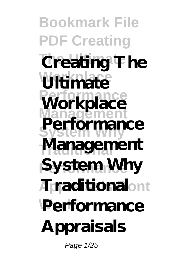**Bookmark File PDF Creating Creating The Workplace Ultimate** Workplace **Management System Why** Management **System Why**  $ATr$ **aditional**ont **Performance Performance Appraisals** Page 1/25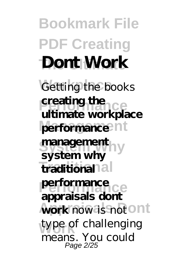## **Bookmark File PDF Creating Dont Work**

Getting the books **Performance in the energy of the energy details**<br> **Performance workplace** performance<sup>nt</sup> **creating the**

management **Traditional traditional Performance appraisals dont** work now is not ont type of challenging **system why performance** means. You could Page 2/25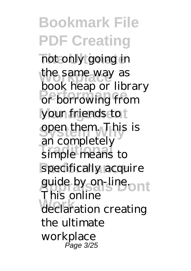**Bookmark File PDF Creating** not only going in the same way as **PERFORMANCE**<br>
or borrowing from your friends to **System Why** open them. This is **Traditional** simple means to specifically acquire guide by on-line ont **Work** declaration creating book heap or library an completely This online the ultimate workplace Page 3/25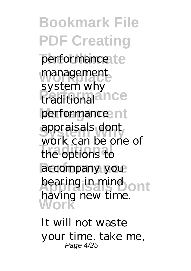**Bookmark File PDF Creating** performance1te management *Preditional* performance<sup>nt</sup> **System Why** appraisals dont **Traditional** the options to accompany you bearing in mind ont **Work** system why work can be one of having new time.

It will not waste your time. take me, Page 4/25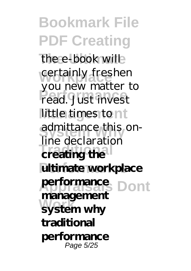**Bookmark File PDF Creating** the e-book will certainly freshen **Performance** read. Just invest little times to nt admittance this on-**Traditional Executive ultimate** workplace **Appraisals Dont performance System why** you new matter to line declaration **management traditional performance** Page 5/25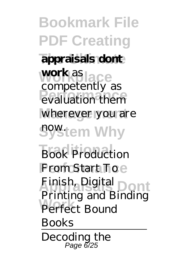**Bookmark File PDF Creating The Ultimate appraisals dont work** as **ace** evaluation them wherever you are **system Why Book Production From Start Toe Appraisals Dont** Finish, Digital **Perfect Bound** competently as Printing and Binding Books Decoding the Page 6/25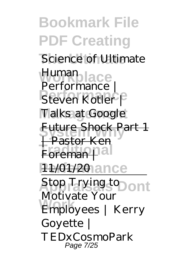**Bookmark File PDF Creating The Ultimate** Science of Ultimate Human<br>**Benformance** Steven Kotler P **Talks at Google Future Shock Part 1 Foreman** 11/01/20 ance **Appraisals Dont** Stop Trying to **Work** Employees | Kerry Performance Pastor Ken Motivate Your Goyette | TEDxCosmoPark Page 7/25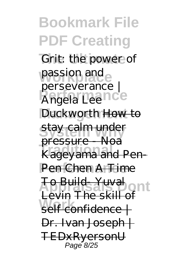**Bookmark File PDF Creating** *Grit: the power of* passion and **Performance** *Angela Lee* Duckworth How to **System Why** stay calm under **Traditional Product**<br>
Kageyama and Pen-Pen Chen A Time **Appraisals Dont** To Build- Yuval **Work** self confidence | *perseverance |* pressure - Noa Levin  $The$  skill Dr. Ivan Joseph | TEDxRyersonU Page 8/25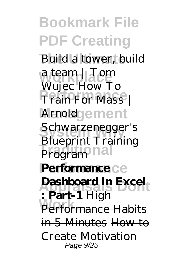**Bookmark File PDF Creating** Build a tower, build **Workplace** *a team | Tom* **Performance** *Train For Mass |* **Management** *Arnold* **System Why** *Schwarzenegger's Program*<sup>na</sup> **Performance Performance Appraisals Dont Dashboard In Excel Performance Habits** *Wujec How To Blueprint Training* **: Part-1** High in 5 Minutes How to Create Motivation Page 9/25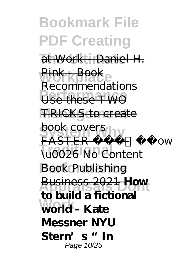**Bookmark File PDF Creating The Ultimate** at Work - Daniel H. Pink Booke **Performance** Use these TWO **TRICKS** to create book covers y **Traditional** \u0026 No Content **Book Publishing Appraisals Dont** Business 2021 **How Work world - Kate** Recommendations FASTER **Lands to build a fictional Messner NYU Stern's "In** Page 10/25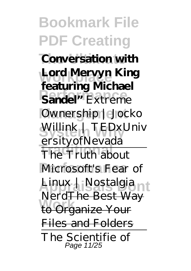**Bookmark File PDF Creating Conversation with** Lord Mervyn King **Performance Sandel"***Extreme* **Management** *Ownership | Jocko* **System Why** *Willink | TEDxUniv* **The Truth about** Microsoft's Fear of Linux | Nostalgia <sub>nt</sub> **Work** to Organize Your **featuring Michael** *ersityofNevada* NerdThe Best Way Files and Folders The Scientifie of Page 11/25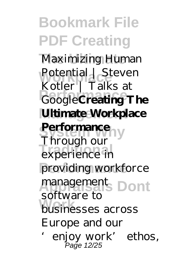**Bookmark File PDF Creating Maximizing Human** Potential | Steven **Performance** Google**Creating The Ultimate Workplace Performance Traditional** experience in providing workforce management<sub>s</sub> Dont **Work** businesses across Kotler | Talks at Through our software to Europe and our 'enjoy work' ethos, Page 12/25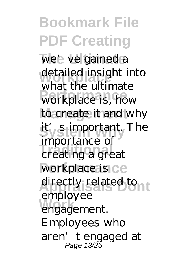**Bookmark File PDF Creating** we' ve gained a detailed insight into workplace is, how to create it and why **it's stimportant**, The mportance of<br>
creating a great workplace is ce directly related tont employee<br>
engagement. what the ultimate importance of employee Employees who aren't engaged at Page 13/25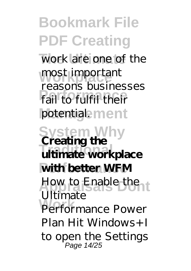**Bookmark File PDF Creating** work are one of the most important **Performance** fail to fulfil their potentiale<sub>ment</sub> **System Why Creating the Traditional ultimate workplace** with better WFM How to Enable the Performance Power reasons businesses Ultimate Plan Hit Windows+I to open the Settings Page 14/25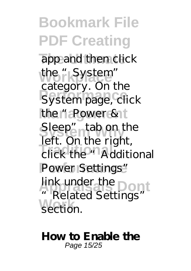**Bookmark File PDF Creating** app and then click the "System" **Performance** System page, click the "Power & t Sleep" tab on the **Traditional** click the "Additional Power Settings" **Appraisals Dont** link under the **Work** section. category. On the left. On the right, "Related Settings"

**How to Enable the** Page 15/25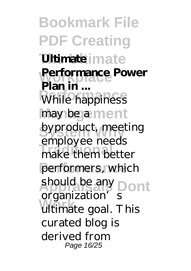**Bookmark File PDF Creating The Ultimate Ultimate** Performance Power **Prairie:** may be a ment byproduct, meeting **Traditional** make them better performers, which should be any Dont **Work** ultimate goal. This **Plan in ...** employee needs organization's curated blog is derived from Page 16/25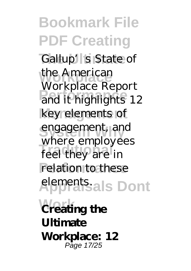**Bookmark File PDF Creating** Gallup's State of **Workplace** the American **Profitable Tranchines** 12 key elements of engagement, and **Traditional** feel they are in relation to these **Appraisals Dont** elements. **Creating the** Workplace Report where employees **Ultimate Workplace: 12** Page 17/25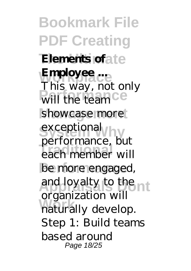**Bookmark File PDF Creating Elements of ate Employee** will the team<sup>Ce</sup> showcase more exceptional **Traditional** each member will be more engaged, and loyalty to the nt **Work** naturally develop. This way, not only performance, but organization will Step 1: Build teams based around Page 18/25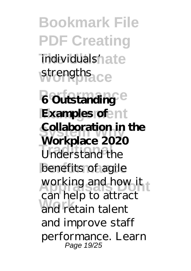**Bookmark File PDF Creating** individuals'n ate strengths<sub>ace</sub> *6* **Outstanding<sup>e</sup> Examples of** ent **Collaboration in the Traditional** benefits of agile working and how it and retain talent **Workplace 2020** can help to attract and improve staff performance. Learn Page 19/25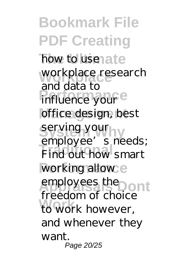**Bookmark File PDF Creating** how to use ate **Workplace** workplace research influence your<sup>e</sup> office design, best serving your <sub>1</sub>y **Traditional** Find out how smart working allow e employees the **Dont Work** to work however, and data to employee's needs; freedom of choice and whenever they want. Page 20/25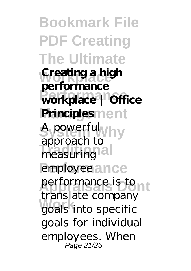**Bookmark File PDF Creating The Ultimate Creating a high Performance workplace | Office Principles**ment **System Why** A powerful **Traditional** measuring employee ance performance is to nt **Work** goals into specific **performance** approach to translate company goals for individual employees. When Page 21/25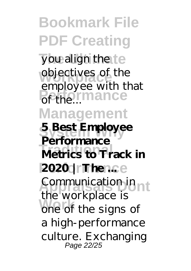**Bookmark File PDF Creating** you align the te objectives of the **Performance Management System Why 5 Best Employee Metrics to Track in 2020 | The ...**... **Appraisals Dont** Communication in **Work** one of the signs of employee with that **Performance** the workplace is a high-performance culture. Exchanging Page 22/25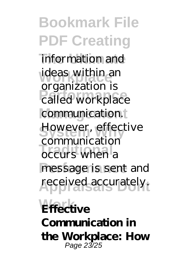**Bookmark File PDF Creating** information and ideas within an **Performance** called workplace communication. However, effective communeused message is sent and received accurately. **Effective** organization is communication **Communication in**

**the Workplace: How** Page 23/25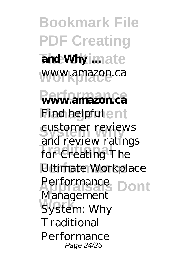**Bookmark File PDF Creating**  $\overline{\mathbf{a}}$  and Why imate www.amazon.ca **Performance www.amazon.ca** Find helpful ent **Systemer reviews Traditional** for Creating The **Ultimate Workplace Appraisals Dont** Performance **Work** System: Why and review ratings Management **Traditional** Performance Page 24/25